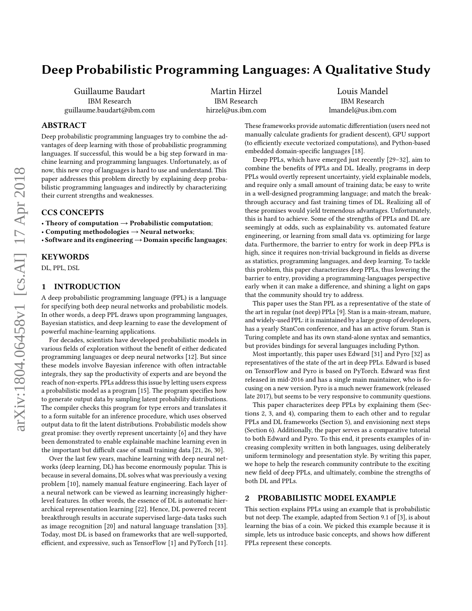# Deep Probabilistic Programming Languages: A Qualitative Study

Guillaume Baudart IBM Research guillaume.baudart@ibm.com

Martin Hirzel IBM Research hirzel@us.ibm.com

Louis Mandel IBM Research lmandel@us.ibm.com

# ABSTRACT

Deep probabilistic programming languages try to combine the advantages of deep learning with those of probabilistic programming languages. If successful, this would be a big step forward in machine learning and programming languages. Unfortunately, as of now, this new crop of languages is hard to use and understand. This paper addresses this problem directly by explaining deep probabilistic programming languages and indirectly by characterizing their current strengths and weaknesses.

# CCS CONCEPTS

• Theory of computation  $\rightarrow$  Probabilistic computation;

- Computing methodologies  $\rightarrow$  Neural networks;
- Software and its engineering  $\rightarrow$  Domain specific languages;

### KEYWORDS

DL, PPL, DSL

### 1 INTRODUCTION

A deep probabilistic programming language (PPL) is a language for specifying both deep neural networks and probabilistic models. In other words, a deep PPL draws upon programming languages, Bayesian statistics, and deep learning to ease the development of powerful machine-learning applications.

For decades, scientists have developed probabilistic models in various fields of exploration without the benefit of either dedicated programming languages or deep neural networks [\[12\]](#page-8-0). But since these models involve Bayesian inference with often intractable integrals, they sap the productivity of experts and are beyond the reach of non-experts. PPLs address this issue by letting users express a probabilistic model as a program [\[15\]](#page-8-1). The program specifies how to generate output data by sampling latent probability distributions. The compiler checks this program for type errors and translates it to a form suitable for an inference procedure, which uses observed output data to fit the latent distributions. Probabilistic models show great promise: they overtly represent uncertainty [\[6\]](#page-8-2) and they have been demonstrated to enable explainable machine learning even in the important but difficult case of small training data [\[21,](#page-8-3) [26,](#page-8-4) [30\]](#page-8-5).

Over the last few years, machine learning with deep neural networks (deep learning, DL) has become enormously popular. This is because in several domains, DL solves what was previously a vexing problem [\[10\]](#page-8-6), namely manual feature engineering. Each layer of a neural network can be viewed as learning increasingly higherlevel features. In other words, the essence of DL is automatic hierarchical representation learning [\[22\]](#page-8-7). Hence, DL powered recent breakthrough results in accurate supervised large-data tasks such as image recognition [\[20\]](#page-8-8) and natural language translation [\[33\]](#page-8-9). Today, most DL is based on frameworks that are well-supported, efficient, and expressive, such as TensorFlow [\[1\]](#page-8-10) and PyTorch [\[11\]](#page-8-11). These frameworks provide automatic differentiation (users need not manually calculate gradients for gradient descent), GPU support (to efficiently execute vectorized computations), and Python-based embedded domain-specific languages [\[18\]](#page-8-12).

Deep PPLs, which have emerged just recently [\[29](#page-8-13)[–32\]](#page-8-14), aim to combine the benefits of PPLs and DL. Ideally, programs in deep PPLs would overtly represent uncertainty, yield explainable models, and require only a small amount of training data; be easy to write in a well-designed programming language; and match the breakthrough accuracy and fast training times of DL. Realizing all of these promises would yield tremendous advantages. Unfortunately, this is hard to achieve. Some of the strengths of PPLs and DL are seemingly at odds, such as explainability vs. automated feature engineering, or learning from small data vs. optimizing for large data. Furthermore, the barrier to entry for work in deep PPLs is high, since it requires non-trivial background in fields as diverse as statistics, programming languages, and deep learning. To tackle this problem, this paper characterizes deep PPLs, thus lowering the barrier to entry, providing a programming-languages perspective early when it can make a difference, and shining a light on gaps that the community should try to address.

This paper uses the Stan PPL as a representative of the state of the art in regular (not deep) PPLs [\[9\]](#page-8-15). Stan is a main-stream, mature, and widely-used PPL: it is maintained by a large group of developers, has a yearly StanCon conference, and has an active forum. Stan is Turing complete and has its own stand-alone syntax and semantics, but provides bindings for several languages including Python.

Most importantly, this paper uses Edward [\[31\]](#page-8-16) and Pyro [\[32\]](#page-8-14) as representatives of the state of the art in deep PPLs. Edward is based on TensorFlow and Pyro is based on PyTorch. Edward was first released in mid-2016 and has a single main maintainer, who is focusing on a new version. Pyro is a much newer framework (released late 2017), but seems to be very responsive to community questions.

This paper characterizes deep PPLs by explaining them (Sections [2,](#page-0-0) [3,](#page-3-0) and [4\)](#page-5-0), comparing them to each other and to regular PPLs and DL frameworks (Section [5\)](#page-5-1), and envisioning next steps (Section [6\)](#page-7-0). Additionally, the paper serves as a comparative tutorial to both Edward and Pyro. To this end, it presents examples of increasing complexity written in both languages, using deliberately uniform terminology and presentation style. By writing this paper, we hope to help the research community contribute to the exciting new field of deep PPLs, and ultimately, combine the strengths of both DL and PPLs.

# <span id="page-0-0"></span>2 PROBABILISTIC MODEL EXAMPLE

This section explains PPLs using an example that is probabilistic but not deep. The example, adapted from Section 9.1 of [\[3\]](#page-8-17), is about learning the bias of a coin. We picked this example because it is simple, lets us introduce basic concepts, and shows how different PPLs represent these concepts.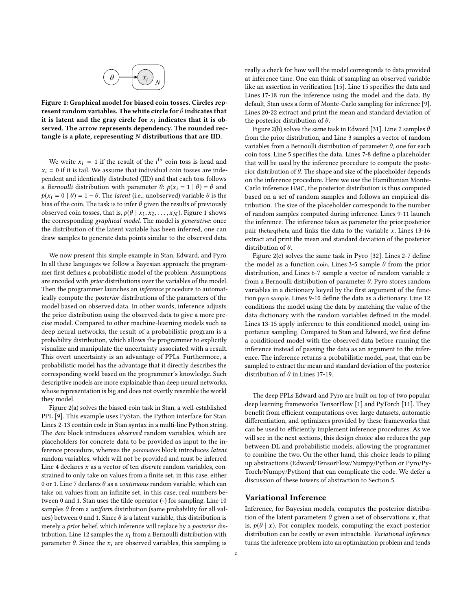<span id="page-1-0"></span>

Figure 1: Graphical model for biased coin tosses. Circles represent random variables. The white circle for  $\theta$  indicates that it is latent and the gray circle for  $x_i$  indicates that it is observed. The arrow represents dependency. The rounded rectangle is a plate, representing  $N$  distributions that are IID.

We write  $x_i = 1$  if the result of the *i*<sup>th</sup> coin toss is head and  $= 0$  if it is toil. We assume that individual coin tosses are inde  $x_i = 0$  if it is tail. We assume that individual coin tosses are independent and identically distributed (IID) and that each toss follows a Bernoulli distribution with parameter  $\theta$ :  $p(x_i = 1 | \theta) = \theta$  and  $p(x_i = 0 | \theta) = 1 - \theta$ . The *latent* (i.e., unobserved) variable  $\theta$  is the bias of the coin. The task is to infer  $\theta$  given the results of previously observed coin tosses, that is,  $p(\theta | x_1, x_2, \ldots, x_N)$ . Figure [1](#page-1-0) shows the corresponding graphical model. The model is generative: once the distribution of the latent variable has been inferred, one can draw samples to generate data points similar to the observed data.

We now present this simple example in Stan, Edward, and Pyro. In all these languages we follow a Bayesian approach: the programmer first defines a probabilistic model of the problem. Assumptions are encoded with prior distributions over the variables of the model. Then the programmer launches an inference procedure to automatically compute the posterior distributions of the parameters of the model based on observed data. In other words, inference adjusts the prior distribution using the observed data to give a more precise model. Compared to other machine-learning models such as deep neural networks, the result of a probabilistic program is a probability distribution, which allows the programmer to explicitly visualize and manipulate the uncertainty associated with a result. This overt uncertainty is an advantage of PPLs. Furthermore, a probabilistic model has the advantage that it directly describes the corresponding world based on the programmer's knowledge. Such descriptive models are more explainable than deep neural networks, whose representation is big and does not overtly resemble the world they model.

Figure [2\(](#page-2-0)a) solves the biased-coin task in Stan, a well-established PPL [\[9\]](#page-8-15). This example uses PyStan, the Python interface for Stan. Lines 2-13 contain code in Stan syntax in a multi-line Python string. The data block introduces observed random variables, which are placeholders for concrete data to be provided as input to the inference procedure, whereas the parameters block introduces latent random variables, which will not be provided and must be inferred. Line 4 declares  $x$  as a vector of ten *discrete* random variables, constrained to only take on values from a finite set, in this case, either 0 or 1. Line 7 declares  $\theta$  as a *continuous* random variable, which can take on values from an infinite set, in this case, real numbers between 0 and 1. Stan uses the tilde operator (~) for sampling. Line 10 samples  $\theta$  from a *uniform* distribution (same probability for all values) between 0 and 1. Since  $\theta$  is a latent variable, this distribution is merely a prior belief, which inference will replace by a posterior distribution. Line 12 samples the  $x_i$  from a Bernoulli distribution with parameter  $\theta$ . Since the  $x_i$  are observed variables, this sampling is

really a check for how well the model corresponds to data provided at inference time. One can think of sampling an observed variable like an assertion in verification [\[15\]](#page-8-1). Line 15 specifies the data and Lines 17-18 run the inference using the model and the data. By default, Stan uses a form of Monte-Carlo sampling for inference [\[9\]](#page-8-15). Lines 20-22 extract and print the mean and standard deviation of the posterior distribution of  $\theta$ .

Figure [2\(](#page-2-0)b) solves the same task in Edward [\[31\]](#page-8-16). Line 2 samples  $\theta$ from the prior distribution, and Line 3 samples a vector of random variables from a Bernoulli distribution of parameter  $\theta$ , one for each coin toss. Line 5 specifies the data. Lines 7-8 define a placeholder that will be used by the inference procedure to compute the posterior distribution of  $θ$ . The shape and size of the placeholder depends on the inference procedure. Here we use the Hamiltonian Monte-Carlo inference HMC, the posterior distribution is thus computed based on a set of random samples and follows an empirical distribution. The size of the placeholder corresponds to the number of random samples computed during inference. Lines 9-11 launch the inference. The inference takes as parameter the prior:posterior pair theta: qtheta and links the data to the variable  $x$ . Lines 13-16 extract and print the mean and standard deviation of the posterior distribution of  $\theta$ .

Figure [2\(](#page-2-0)c) solves the same task in Pyro [\[32\]](#page-8-14). Lines 2-7 define the model as a function coin. Lines 3-5 sample  $\theta$  from the prior distribution, and Lines 6-7 sample a vector of random variable  $x$ from a Bernoulli distribution of parameter  $\theta$ . Pyro stores random variables in a dictionary keyed by the first argument of the function pyro.sample. Lines 9-10 define the data as a dictionary. Line 12 conditions the model using the data by matching the value of the data dictionary with the random variables defined in the model. Lines 13-15 apply inference to this conditioned model, using importance sampling. Compared to Stan and Edward, we first define a conditioned model with the observed data before running the inference instead of passing the data as an argument to the inference. The inference returns a probabilistic model, post, that can be sampled to extract the mean and standard deviation of the posterior distribution of  $\theta$  in Lines 17-19.

The deep PPLs Edward and Pyro are built on top of two popular deep learning frameworks TensorFlow [\[1\]](#page-8-10) and PyTorch [\[11\]](#page-8-11). They benefit from efficient computations over large datasets, automatic differentiation, and optimizers provided by these frameworks that can be used to efficiently implement inference procedures. As we will see in the next sections, this design choice also reduces the gap between DL and probabilistic models, allowing the programmer to combine the two. On the other hand, this choice leads to piling up abstractions (Edward/TensorFlow/Numpy/Python or Pyro/Py-Torch/Numpy/Python) that can complicate the code. We defer a discussion of these towers of abstraction to Section [5.](#page-5-1)

# Variational Inference

Inference, for Bayesian models, computes the posterior distribution of the latent parameters  $\theta$  given a set of observations  $x$ , that is,  $p(\theta | x)$ . For complex models, computing the exact posterior distribution can be costly or even intractable. Variational inference turns the inference problem into an optimization problem and tends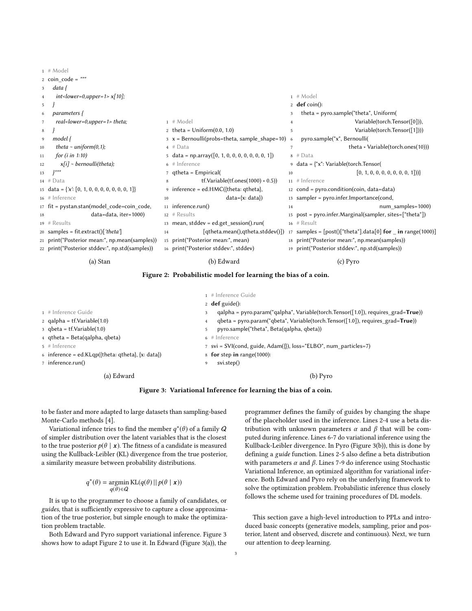|    | (a) Stan                                          |    | (b) Edward                                                                   |    | (c) Pyro                                                              |
|----|---------------------------------------------------|----|------------------------------------------------------------------------------|----|-----------------------------------------------------------------------|
|    | 22 print("Posterior stddev:", np.std(samples))    |    | 16 print("Posterior stddev:", stddev)                                        |    | 19 print("Posterior stddev:", np.std(samples))                        |
|    | 21 print("Posterior mean:", np.mean(samples))     |    | 15 print("Posterior mean:", mean)                                            |    | 18 print("Posterior mean:", np.mean(samples))                         |
|    | 20 samples = fit.extract()['theta']               | 14 | [qtheta.mean(),qtheta.stddev()])                                             |    | 17 samples = $[post()$ ["theta"].data[0] <b>for _ in</b> range(1000)] |
|    | $19$ # Results                                    |    | 13 mean, stddev = ed.get_session().run(                                      |    | $16$ # Result                                                         |
| 18 | data=data, iter=1000)                             |    | $12$ # Results                                                               |    | 15 post = pyro.infer.Marginal(sampler, sites=["theta"])               |
|    | 17 fit = pystan.stan(model_code=coin_code,        |    | 11 inference.run()                                                           | 14 | num_samples=1000)                                                     |
|    | 16 # Inference                                    | 10 | $data=\{x: data\})$                                                          |    | $13$ sampler = pyro.infer.Importance(cond,                            |
|    | 15 data = $\{x: [0, 1, 0, 0, 0, 0, 0, 0, 0, 1]\}$ |    | 9 inference = ed.HMC({theta: qtheta},                                        |    | 12 $cond = pyro.condition(coin, data=data)$                           |
|    | $14 \# Data$                                      | 8  | $tf.Variable(tf.ones(1000) * 0.5)$                                           |    | $11$ # Inference                                                      |
| 13 | $1$ nnn                                           |    | 7 qtheta = $Empirical($                                                      | 10 | [0, 1, 0, 0, 0, 0, 0, 0, 0, 1])                                       |
| 12 | $x[i]$ ~ bernoulli(theta);                        |    | $6$ # Inference                                                              |    | $9$ data = $\{$ "x": Variable(torch.Tensor(                           |
| 11 | for $(i$ in 1:10)                                 |    | $5 \text{ data} = \text{np.array}([0, 1, 0, 0, 0, 0, 0, 0, 0, 1])$           |    | $8 \# Data$                                                           |
| 10 | theta $\sim$ uniform(0,1);                        |    | $4 \# Data$                                                                  | 7  | theta * Variable(torch.ones(10)))                                     |
| 9  | model {                                           |    | $x = \text{Bernoulli}(\text{probs}=\text{theta}, \text{sample\_shape}=10)$ 6 |    | pyro.sample("x", Bernoulli(                                           |
| 8  |                                                   |    | 2 theta = $Uniform(0.0, 1.0)$                                                | 5  | Variable(torch.Tensor([1])))                                          |
|    | real <lower=0,upper=1> theta;</lower=0,upper=1>   |    | $1$ # Model                                                                  |    | Variable(torch.Tensor([0])),                                          |
|    | parameters {                                      |    |                                                                              | 3  | theta = $pyro.sample("theta", Uniform($                               |
| 5  |                                                   |    |                                                                              |    | 2 <b>def</b> coin():                                                  |
|    | $int < lower=0, upper=1> x[10];$                  |    |                                                                              |    | $1$ # Model                                                           |
|    | data {                                            |    |                                                                              |    |                                                                       |
|    | $2$ coin code = $"""$                             |    |                                                                              |    |                                                                       |
|    | 1111001                                           |    |                                                                              |    |                                                                       |

<span id="page-2-0"></span> $1 \#$  Model

### Figure 2: Probabilistic model for learning the bias of a coin.

<span id="page-2-1"></span>

|                                                   | 1 # Inference Guide                                                                                  |
|---------------------------------------------------|------------------------------------------------------------------------------------------------------|
|                                                   | 2 <b>def</b> guide():                                                                                |
| 1 # Inference Guide                               | $qalpha = pyro.param("qalpha", Variable(torch.Tensor([1.0]), requires grad=True)$<br>3               |
| 2 qalpha = $tf.Variable(1.0)$                     | $qbeta = pyro.param("qbeta", Variable(torch.Tensor([1.0]), requires\_grad = True)$<br>$\overline{4}$ |
| $3$ gbeta = tf. Variable $(1.0)$                  | pyro.sample("theta", Beta(qalpha, qbeta))<br>5                                                       |
| 4 qtheta = Beta(qalpha, qbeta)                    | $6$ # Inference                                                                                      |
| $5$ # Inference                                   | $\tau$ svi = SVI(cond, guide, Adam( $\{\}$ ), loss="ELBO", num particles=7)                          |
| 6 inference = ed.KLqp({theta: qtheta}, {x: data}) | 8 for step in range(1000):                                                                           |
| 7 inference.run()                                 | svi. step()<br>9                                                                                     |
| (a) Edward                                        | (b) Pyro                                                                                             |

Figure 3: Variational Inference for learning the bias of a coin.

to be faster and more adapted to large datasets than sampling-based Monte-Carlo methods [\[4\]](#page-8-18).

Variational infence tries to find the member  $q^*(\theta)$  of a family  $\tilde{Q}$ of simpler distribution over the latent variables that is the closest to the true posterior  $p(\theta | x)$ . The fitness of a candidate is measured using the Kullback-Leibler (KL) divergence from the true posterior, a similarity measure between probability distributions.

$$
q^*(\theta) = \operatornamewithlimits{argmin}_{q(\theta) \in \mathcal{Q}} \mathrm{KL}(q(\theta) || p(\theta | \mathbf{x}))
$$

It is up to the programmer to choose a family of candidates, or guides, that is sufficiently expressive to capture a close approximation of the true posterior, but simple enough to make the optimization problem tractable.

Both Edward and Pyro support variational inference. Figure [3](#page-2-1) shows how to adapt Figure [2](#page-2-0) to use it. In Edward (Figure [3\(](#page-2-1)a)), the programmer defines the family of guides by changing the shape of the placeholder used in the inference. Lines 2-4 use a beta distribution with unknown parameters  $\alpha$  and  $\beta$  that will be computed during inference. Lines 6-7 do variational inference using the Kullback-Leibler divergence. In Pyro (Figure [3\(](#page-2-1)b)), this is done by defining a guide function. Lines 2-5 also define a beta distribution with parameters  $\alpha$  and  $\beta$ . Lines 7-9 do inference using Stochastic Variational Inference, an optimized algorithm for variational inference. Both Edward and Pyro rely on the underlying framework to solve the optimization problem. Probabilistic inference thus closely follows the scheme used for training procedures of DL models.

This section gave a high-level introduction to PPLs and introduced basic concepts (generative models, sampling, prior and posterior, latent and observed, discrete and continuous). Next, we turn our attention to deep learning.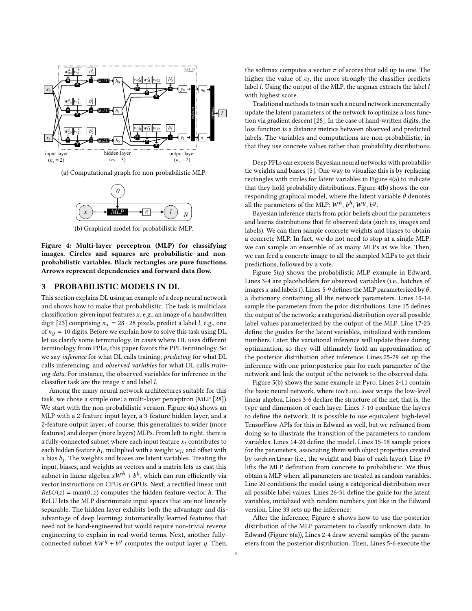<span id="page-3-1"></span>

(a) Computational graph for non-probabilistic MLP.



(b) Graphical model for probabilistic MLP.

Figure 4: Multi-layer perceptron (MLP) for classifying images. Circles and squares are probabilistic and nonprobabilistic variables. Black rectangles are pure functions. Arrows represent dependencies and forward data flow.

### <span id="page-3-0"></span>3 PROBABILISTIC MODELS IN DL

This section explains DL using an example of a deep neural network and shows how to make that probabilistic. The task is multiclass classification: given input features  $x$ , e.g., an image of a handwritten digit [\[23\]](#page-8-19) comprising  $n_x = 28 \cdot 28$  pixels, predict a label *l*, e.g., one of  $n_y = 10$  digits. Before we explain how to solve this task using DL, let us clarify some terminology. In cases where DL uses different terminology from PPLs, this paper favors the PPL terminology. So we say inference for what DL calls training; predicting for what DL calls inferencing; and observed variables for what DL calls training data. For instance, the observed variables for inference in the classifier task are the image  $x$  and label  $l$ .

Among the many neural network architectures suitable for this task, we chose a simple one: a multi-layer perceptron (MLP [\[28\]](#page-8-20)). We start with the non-probabilistic version. Figure [4\(](#page-3-1)a) shows an MLP with a 2-feature input layer, a 3-feature hidden layer, and a 2-feature output layer; of course, this generalizes to wider (more features) and deeper (more layers) MLPs. From left to right, there is a fully-connected subnet where each input feature  $x_i$  contributes to each hidden feature  $h_j$ , multiplied with a weight  $w_{ji}$  and offset with a bias h, The weights and biases are latent variables. Treating the a bias  $b_j$ . The weights and biases are latent variables. Treating the input biases and verights as vectors and a matrix lets us cast this input, biases, and weights as vectors and a matrix lets us cast this subnet in linear algebra  $xW^h + b^h$ , which can run efficiently via vector instructions on CPUs or GPUs. Next, a rectified linear unit  $ReLU(z) = max(0, z)$  computes the hidden feature vector h. The ReLU lets the MLP discriminate input spaces that are not linearly separable. The hidden layer exhibits both the advantage and disadvantage of deep learning: automatically learned features that need not be hand-engineered but would require non-trivial reverse engineering to explain in real-world terms. Next, another fullyconnected subnet  $hW^{\mathcal{Y}} + b^{\mathcal{Y}}$  computes the output layer  $\mathcal{Y}$ . Then, the softmax computes a vector  $\pi$  of scores that add up to one. The higher the value of  $\pi_l$ , the more strongly the classifier predicts<br>label *l* Using the output of the MLP the argmax extracts the label *l* label *l*. Using the output of the MLP, the argmax extracts the label *l* with highest score.

Traditional methods to train such a neural network incrementally update the latent parameters of the network to optimize a loss function via gradient descent [\[28\]](#page-8-20). In the case of hand-written digits, the loss function is a distance metrics between observed and predicted labels. The variables and computations are non-probabilistic, in that they use concrete values rather than probability distributions.

Deep PPLs can express Bayesian neural networks with probabilistic weights and biases [\[5\]](#page-8-21). One way to visualize this is by replacing rectangles with circles for latent variables in Figure [4\(](#page-3-1)a) to indicate that they hold probability distributions. Figure [4\(](#page-3-1)b) shows the corresponding graphical model, where the latent variable  $\theta$  denotes all the parameters of the MLP:  $W^h$ ,  $b^h$ ,  $W^y$ ,  $b^y$ .

Bayesian inference starts from prior beliefs about the parameters and learns distributions that fit observed data (such as, images and labels). We can then sample concrete weights and biases to obtain a concrete MLP. In fact, we do not need to stop at a single MLP: we can sample an ensemble of as many MLPs as we like. Then, we can feed a concrete image to all the sampled MLPs to get their predictions, followed by a vote.

Figure [5\(](#page-4-0)a) shows the probabilistic MLP example in Edward. Lines 3-4 are placeholders for observed variables (i.e., batches of images x and labels l). Lines 5-9 defines the MLP parameterized by  $\theta$ , a dictionary containing all the network parameters. Lines 10-14 sample the parameters from the prior distributions. Line 15 defines the output of the network: a categorical distribution over all possible label values parameterized by the output of the MLP. Line 17-23 define the guides for the latent variables, initialized with random numbers. Later, the variational inference will update these during optimization, so they will ultimately hold an approximation of the posterior distribution after inference. Lines 25-29 set up the inference with one prior:posterior pair for each parameter of the network and link the output of the network to the observed data.

Figure [5\(](#page-4-0)b) shows the same example in Pyro. Lines 2-11 contain the basic neural network, where torch.nn.Linear wraps the low-level linear algebra. Lines 3-6 declare the structure of the net, that is, the type and dimension of each layer. Lines 7-10 combine the layers to define the network. It is possible to use equivalent high-level TensorFlow APIs for this in Edward as well, but we refrained from doing so to illustrate the transition of the parameters to random variables. Lines 14-20 define the model. Lines 15-18 sample priors for the parameters, associating them with object properties created by torch.nn.Linear (i.e., the weight and bias of each layer). Line 19 lifts the MLP definition from concrete to probabilistic. We thus obtain a MLP where all parameters are treated as random variables. Line 20 conditions the model using a categorical distribution over all possible label values. Lines 26-31 define the guide for the latent variables, initialized with random numbers, just like in the Edward version. Line 33 sets up the inference.

After the inference, Figure [6](#page-4-1) shows how to use the posterior distribution of the MLP parameters to classify unknown data. In Edward (Figure [6\(](#page-4-1)a)), Lines 2-4 draw several samples of the parameters from the posterior distribution. Then, Lines 5-6 execute the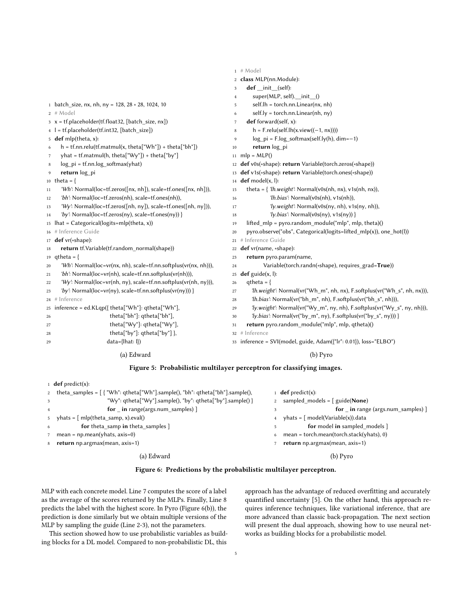<span id="page-4-0"></span>

|                |                                                                                    |                | $1$ # Model                                                              |
|----------------|------------------------------------------------------------------------------------|----------------|--------------------------------------------------------------------------|
|                |                                                                                    |                | 2 class MLP(nn.Module):                                                  |
|                |                                                                                    | 3              | def _init_(self):                                                        |
|                |                                                                                    | $\overline{4}$ | super(MLP, self). init ()                                                |
|                | 1 batch size, nx, nh, ny = $128$ , $28 \times 28$ , 1024, 10                       | 5              | $self.Ih = torch.nn.Linear(nx, nh)$                                      |
|                | $2$ # Model                                                                        | 6              | self.ly = torch.nn.Linear(nh, ny)                                        |
|                | 3 x = tf.placeholder(tf.float32, [batch_size, nx])                                 | 7              | def forward(self, x):                                                    |
|                | 4 l = tf.placeholder(tf.int32, [batch_size])                                       | 8              | $h = F$ .relu(self.lh(x.view((-1, nx))))                                 |
|                | 5 def mlp(theta, x):                                                               | 9              | $log_p i = F.log_softmax(self.ly(h), dim=-1)$                            |
| 6              | $h = tf.nn.relu(tf.matmul(x, theta["Wh"]) + theta["bh"])$                          | 10             | return log pi                                                            |
| $\overline{7}$ | yhat = tf.matmul(h, theta["Wy"]) + theta["by"]                                     |                | 11 mlp = $MLP()$                                                         |
| 8              | $logpi = tf.nn.log_softmax(what)$                                                  |                | 12 def v0s(*shape): return Variable(torch.zeros(*shape))                 |
| 9              | return log pi                                                                      | 13             | def v1s(*shape): return Variable(torch.ones(*shape))                     |
|                | 10 theta = $\{$                                                                    | 14             | def model(x, l):                                                         |
| 11             | 'Wh': Normal(loc=tf.zeros([nx, nh]), scale=tf.ones([nx, nh])),                     | 15             | theta = { 'lh.weight': Normal(v0s(nh, nx), v1s(nh, nx)),                 |
| 12             | 'bh': Normal(loc=tf.zeros(nh), scale=tf.ones(nh)),                                 | 16             | 'lh.bias': Normal(v0s(nh), v1s(nh)),                                     |
| 13             | 'Wy': Normal(loc=tf.zeros([nh, ny]), scale=tf.ones([nh, ny])),                     | 17             | 'ly.weight': Normal(v0s(ny, nh), v1s(ny, nh)),                           |
| 14             | 'by': Normal(loc=tf.zeros(ny), scale=tf.ones(ny)) }                                | 18             | 'ly.bias': Normal(v0s(ny), v1s(ny)) }                                    |
|                | 15 $\text{lhat} = \text{Categorical}(\text{logits} = \text{mlp}(\text{theta}, x))$ | 19             | lifted $mlp = pyro.random module("mlp", mlp, theta)()$                   |
|                | 16 # Inference Guide                                                               | 20             | pyro.observe("obs", Categorical(logits=lifted_mlp(x)), one_hot(l))       |
|                | 17 def vr(*shape):                                                                 | 21             | # Inference Guide                                                        |
| 18             | return tf.Variable(tf.random_normal(shape))                                        | 22             | def vr(name, *shape):                                                    |
|                | 19 qtheta = {                                                                      | 23             | return pyro.param(name,                                                  |
| 20             | 'Wh': Normal(loc=vr(nx, nh), scale=tf.nn.softplus(vr(nx, nh))),                    | 24             | Variable(torch.randn(*shape), requires_grad=True))                       |
| 21             | 'bh': Normal(loc=vr(nh), scale=tf.nn.softplus(vr(nh))),                            | 25             | $def$ guide $(x, l)$ :                                                   |
| 22             | 'Wy': Normal(loc=vr(nh, ny), scale=tf.nn.softplus(vr(nh, ny))),                    | 26             | $qtheta = \{$                                                            |
| 23             | 'by': Normal(loc=vr(ny), scale=tf.nn.softplus(vr(ny))) }                           | 27             | 'lh.weight': Normal(vr("Wh m", nh, nx), F.softplus(vr("Wh s", nh, nx))), |
|                | 24 # Inference                                                                     | 28             | 'lh.bias': Normal(vr("bh_m", nh), F.softplus(vr("bh_s", nh))),           |
| 25             | inference = ed.KLqp({ theta["Wh"]: qtheta["Wh"],                                   | 29             | 'ly.weight': Normal(vr("Wy_m", ny, nh), F.softplus(vr("Wy_s", ny, nh))), |
| 26             | theta["bh"]: gtheta["bh"],                                                         | 30             | 'ly.bias': Normal(vr("by_m", ny), F.softplus(vr("by_s", ny))) }          |
| 27             | theta["Wy"]: qtheta["Wy"],                                                         | 31             | return pyro.random module("mlp", mlp, qtheta)()                          |
| 28             | theta["by"]: qtheta["by"] },                                                       |                | 32 # Inference                                                           |
| 29             | data={lhat: l})                                                                    |                | 33 inference = SVI(model, guide, Adam({"lr": 0.01}), loss="ELBO")        |
|                | (a) Edward                                                                         |                | (b) Pyro                                                                 |

### Figure 5: Probabilistic multilayer perceptron for classifying images.

<span id="page-4-1"></span>

|   | <b>def</b> predict(x):                                                              |   |                                          |
|---|-------------------------------------------------------------------------------------|---|------------------------------------------|
|   | 2 theta samples = $\int$ {"Wh": qtheta["Wh"].sample(), "bh": qtheta["bh"].sample(), |   | 1 <b>def</b> predict(x):                 |
|   | "Wy": $qtheta['Wy"]$ .sample(), "by": $qtheta['by"]$ .sample() }                    |   | sampled models = $\int$ guide(None)      |
|   | for in range(args.num samples) $\vert$                                              |   | for in range (args.num samples) ]        |
|   | $yhats = [mlp(theta_samp, x).eval()$                                                | 4 | yhats = [ model(Variable(x)).data        |
| 6 | for theta samp in theta samples ]                                                   |   | for model in sampled models ]            |
|   | mean = $np.macan(yhats, axis=0)$                                                    | 6 | mean = torch.mean(torch.stack(yhats), 0) |
| 8 | return np.argmax(mean, axis=1)                                                      |   | return np.argmax(mean, axis=1)           |
|   | (a) Edward                                                                          |   | $(b)$ Pyro                               |



MLP with each concrete model. Line 7 computes the score of a label as the average of the scores returned by the MLPs. Finally, Line 8 predicts the label with the highest score. In Pyro (Figure [6\(](#page-4-1)b)), the prediction is done similarly but we obtain multiple versions of the MLP by sampling the guide (Line 2-3), not the parameters.

This section showed how to use probabilistic variables as building blocks for a DL model. Compared to non-probabilistic DL, this

approach has the advantage of reduced overfitting and accurately quantified uncertainty [\[5\]](#page-8-21). On the other hand, this approach requires inference techniques, like variational inference, that are more advanced than classic back-propagation. The next section will present the dual approach, showing how to use neural networks as building blocks for a probabilistic model.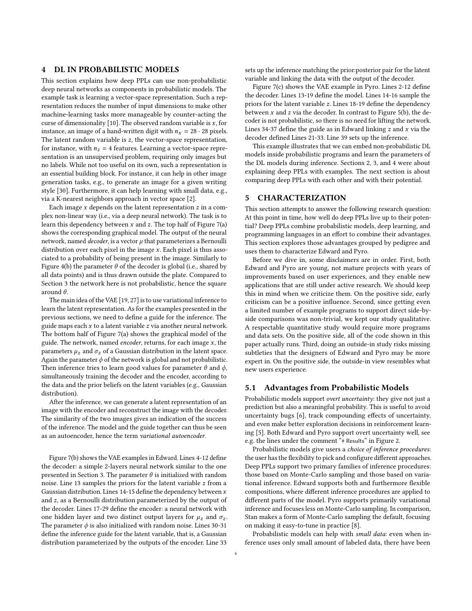# <span id="page-5-0"></span>4 DL IN PROBABILISTIC MODELS

This section explains how deep PPLs can use non-probabilistic deep neural networks as components in probabilistic models. The example task is learning a vector-space representation. Such a representation reduces the number of input dimensions to make other machine-learning tasks more manageable by counter-acting the curse of dimensionality [\[10\]](#page-8-6). The observed random variable is  $x$ , for instance, an image of a hand-written digit with  $n_x = 28 \cdot 28$  pixels. The latent random variable is  $z$ , the vector-space representation, for instance, with  $n_z = 4$  features. Learning a vector-space representation is an unsupervised problem, requiring only images but no labels. While not too useful on its own, such a representation is an essential building block. For instance, it can help in other image generation tasks, e.g., to generate an image for a given writing style [\[30\]](#page-8-5). Furthermore, it can help learning with small data, e.g., via a K-nearest neighbors approach in vector space [\[2\]](#page-8-22).

Each image  $x$  depends on the latent representation  $z$  in a complex non-linear way (i.e., via a deep neural network). The task is to learn this dependency between  $x$  and  $z$ . The top half of Figure [7\(](#page-6-0)a) shows the corresponding graphical model. The output of the neural network, named *decoder*, is a vector  $\mu$  that parameterizes a Bernoulli distribution over each pixel in the image  $x$ . Each pixel is thus associated to a probability of being present in the image. Similarly to Figure [4\(](#page-3-1)b) the parameter  $\theta$  of the decoder is global (i.e., shared by all data points) and is thus drawn outside the plate. Compared to Section [3](#page-3-0) the network here is not probabilistic, hence the square around θ.

The main idea of the VAE [\[19,](#page-8-23) [27\]](#page-8-24) is to use variational inference to learn the latent representation. As for the examples presented in the previous sections, we need to define a guide for the inference. The guide maps each  $x$  to a latent variable  $z$  via another neural network. The bottom half of Figure [7\(](#page-6-0)a) shows the graphical model of the guide. The network, named encoder, returns, for each image  $x$ , the parameters  $\mu_z$  and  $\sigma_z$  of a Gaussian distribution in the latent space. Again the parameter  $\phi$  of the network is global and not probabilistic. Then inference tries to learn good values for parameter  $\theta$  and  $\phi$ , simultaneously training the decoder and the encoder, according to the data and the prior beliefs on the latent variables (e.g., Gaussian distribution).

After the inference, we can generate a latent representation of an image with the encoder and reconstruct the image with the decoder. The similarity of the two images gives an indication of the success of the inference. The model and the guide together can thus be seen as an autoencoder, hence the term variational autoencoder.

Figure [7\(](#page-6-0)b) shows the VAE examples in Edward. Lines 4-12 define the decoder: a simple 2-layers neural network similar to the one presented in Section [3.](#page-3-0) The parameter  $\theta$  is initialized with random noise. Line 13 samples the priors for the latent variable z from a Gaussian distribution. Lines 14-15 define the dependency between  $x$ and z, as a Bernoulli distribution parameterized by the output of the decoder. Lines 17-29 define the encoder: a neural network with one hidden layer and two distinct output layers for  $\mu_z$  and  $\sigma_z$ . The parameter  $\phi$  is also initialized with random noise. Lines 30-31 define the inference guide for the latent variable, that is, a Gaussian distribution parameterized by the outputs of the encoder. Line 33

sets up the inference matching the prior:posterior pair for the latent variable and linking the data with the output of the decoder.

Figure [7\(](#page-6-0)c) shows the VAE example in Pyro. Lines 2-12 define the decoder. Lines 13-19 define the model. Lines 14-16 sample the priors for the latent variable z. Lines 18-19 define the dependency between x and z via the decoder. In contrast to Figure [5\(](#page-4-0)b), the decoder is not probabilistic, so there is no need for lifting the network. Lines 34-37 define the guide as in Edward linking  $z$  and  $x$  via the decoder defined Lines 21-33. Line 39 sets up the inference.

This example illustrates that we can embed non-probabilistic DL models inside probabilistic programs and learn the parameters of the DL models during inference. Sections [2,](#page-0-0) [3,](#page-3-0) and [4](#page-5-0) were about explaining deep PPLs with examples. The next section is about comparing deep PPLs with each other and with their potential.

### <span id="page-5-1"></span>5 CHARACTERIZATION

This section attempts to answer the following research question: At this point in time, how well do deep PPLs live up to their potential? Deep PPLs combine probabilistic models, deep learning, and programming languages in an effort to combine their advantages. This section explores those advantages grouped by pedigree and uses them to characterize Edward and Pyro.

Before we dive in, some disclaimers are in order. First, both Edward and Pyro are young, not mature projects with years of improvements based on user experiences, and they enable new applications that are still under active research. We should keep this in mind when we criticize them. On the positive side, early criticism can be a positive influence. Second, since getting even a limited number of example programs to support direct side-byside comparisons was non-trivial, we kept our study qualitative. A respectable quantitative study would require more programs and data sets. On the positive side, all of the code shown in this paper actually runs. Third, doing an outside-in study risks missing subtleties that the designers of Edward and Pyro may be more expert in. On the positive side, the outside-in view resembles what new users experience.

### 5.1 Advantages from Probabilistic Models

Probabilistic models support overt uncertainty: they give not just a prediction but also a meaningful probability. This is useful to avoid uncertainty bugs [\[6\]](#page-8-2), track compounding effects of uncertainty, and even make better exploration decisions in reinforcement learning [\[5\]](#page-8-21). Both Edward and Pyro support overt uncertainty well, see e.g. the lines under the comment "# Results" in Figure [2.](#page-2-0)

Probabilistic models give users a choice of inference procedures: the user has the flexibility to pick and configure different approaches. Deep PPLs support two primary families of inference procedures: those based on Monte-Carlo sampling and those based on variational inference. Edward supports both and furthermore flexible compositions, where different inference procedures are applied to different parts of the model. Pyro supports primarily variational inference and focuses less on Monte-Carlo sampling. In comparison, Stan makes a form of Monte-Carlo sampling the default, focusing on making it easy-to-tune in practice [\[8\]](#page-8-25).

Probabilistic models can help with small data: even when inference uses only small amount of labeled data, there have been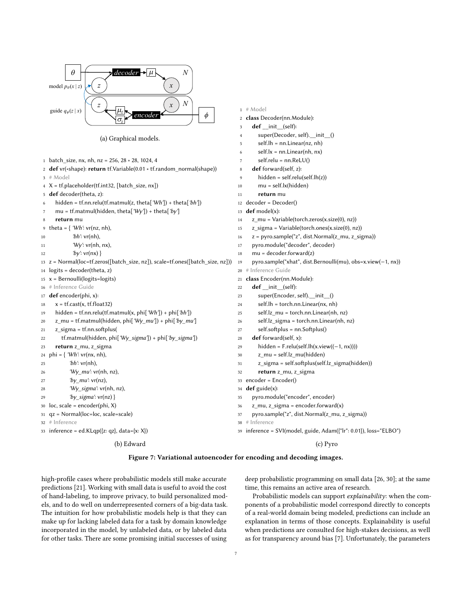<span id="page-6-0"></span>

(a) Graphical models.

|    |                                                                                          | 6              | $self.lx = nn.Linear(nh, nx)$                                     |
|----|------------------------------------------------------------------------------------------|----------------|-------------------------------------------------------------------|
|    | 1 batch_size, nx, nh, nz = $256$ , $28 * 28$ , 1024, 4                                   | $\overline{7}$ | $self.$ relu = nn. $ReLU()$                                       |
|    | 2 def vr(*shape): return tf.Variable(0.01 * tf.random_normal(shape))                     | 8              | def forward(self, z):                                             |
|    | $3$ # Model                                                                              | 9              | $hidden = self.relu(self.lh(z))$                                  |
|    | $4$ X = tf.placeholder(tf.int32, [batch_size, nx])                                       | 10             | mu = self.lx(hidden)                                              |
|    | 5 def decoder(theta, z):                                                                 | 11             | return mu                                                         |
| 6  | hidden = tf.nn.relu(tf.matmul(z, theta['Wh']) + theta['bh'])                             | 12             | $decoder =()$                                                     |
| 7  | mu = tf.matmul(hidden, theta['Wy']) + theta['by']                                        | 13             | def model(x):                                                     |
| 8  | return mu                                                                                | 14             | z_mu = Variable(torch.zeros(x.size(0), nz))                       |
|    | 9 theta = $\{$ 'Wh': vr(nz, nh),                                                         | 15             | $z$ _sigma = Variable(torch.ones(x.size(0), nz))                  |
| 10 | 'bh': $vr(nh)$ ,                                                                         | 16             | $z = pyro.sample("z", dist.Normal(z_mu, z_sigma))$                |
| 11 | 'Wy': $vr(nh, nx)$ ,                                                                     | 17             | pyro.module("decoder", decoder)                                   |
| 12 | 'by': $\mathsf{vr}(\mathsf{nx})$ }                                                       | 18             | $mu = decoder.forward(z)$                                         |
|    | $13 \text{ z}$ = Normal(loc=tf.zeros([batch size, nz]), scale=tf.ones([batch size, nz])) | 19             | pyro.sample("xhat", dist.Bernoulli(mu), obs=x.view(-1, nx))       |
|    | $14$ logits = decoder(theta, z)                                                          | 20             | # Inference Guide                                                 |
|    | $15$ x = Bernoulli(logits=logits)                                                        |                | 21 class Encoder(nn.Module):                                      |
|    | 16 # Inference Guide                                                                     | 22             | def init (self):                                                  |
|    | 17 def encoder(phi, x):                                                                  | 23             | super(Encoder, self). init ()                                     |
| 18 | $x = tf.cast(x, tf.float32)$                                                             | 24             | $self.h = torch.nn.Linear(nx, nh)$                                |
| 19 | hidden = tf.nn.relu(tf.matmul(x, phi['Wh']) + phi['bh'])                                 | 25             | self.lz_mu = torch.nn.Linear(nh, nz)                              |
| 20 | z_mu = tf.matmul(hidden, phi['Wy_mu']) + phi['by_mu']                                    | 26             | self.lz_sigma = torch.nn.Linear(nh, nz)                           |
| 21 | z_sigma = tf.nn.softplus(                                                                | 27             | self.softplus = nn.Softplus()                                     |
| 22 | tf.matmul(hidden, phi['Wy_sigma']) + phi['by_sigma'])                                    | 28             | def forward(self, x):                                             |
| 23 | return z_mu, z_sigma                                                                     | 29             | hidden = F.relu(self.lh(x.view( $(-1, nx)$ )))                    |
| 24 | phi = { 'Wh': $vr(nx, nh)$ ,                                                             | 30             | z_mu = self.lz_mu(hidden)                                         |
| 25 | 'bh': $vr(nh)$ ,                                                                         | 31             | z_sigma = self.softplus(self.lz_sigma(hidden))                    |
| 26 | $W_y$ _mu': vr(nh, nz),                                                                  | 32             | return z mu, z sigma                                              |
| 27 | $'by_mu$ : vr(nz),                                                                       | 33             | encoder = Encoder()                                               |
| 28 | 'Wy_sigma': vr(nh, nz),                                                                  |                | 34 def guide(x):                                                  |
| 29 | 'by_sigma': $vr(nz)$ }                                                                   | 35             | pyro.module("encoder", encoder)                                   |
|    | $30 \text{ loc}, \text{scale} = \text{encoder}(\text{phi}, X)$                           | 36             | $z_{mu}$ , $z_{sigma}$ = encoder.forward(x)                       |
|    | 31 qz = Normal(loc=loc, scale=scale)                                                     | 37             | pyro.sample("z", dist.Normal(z_mu, z_sigma))                      |
|    | 32 # Inference                                                                           | 38             | # Inference                                                       |
|    | 33 inference = ed.KLqp({z: qz}, data={x: X})                                             |                | 39 inference = SVI(model, guide, Adam({"lr": 0.01}), loss="ELBO") |
|    | (b) Edward                                                                               |                | (c) Pyro                                                          |

# Model

class Decoder(nn.Module): 3 def \_\_init\_\_(self):

 super(Decoder, self).\_\_init\_\_() self.lh = nn.Linear(nz, nh)

### Figure 7: Variational autoencoder for encoding and decoding images.

high-profile cases where probabilistic models still make accurate predictions [\[21\]](#page-8-3). Working with small data is useful to avoid the cost of hand-labeling, to improve privacy, to build personalized models, and to do well on underrepresented corners of a big-data task. The intuition for how probabilistic models help is that they can make up for lacking labeled data for a task by domain knowledge incorporated in the model, by unlabeled data, or by labeled data for other tasks. There are some promising initial successes of using

deep probabilistic programming on small data [\[26,](#page-8-4) [30\]](#page-8-5); at the same time, this remains an active area of research.

Probabilistic models can support explainability: when the components of a probabilistic model correspond directly to concepts of a real-world domain being modeled, predictions can include an explanation in terms of those concepts. Explainability is useful when predictions are consulted for high-stakes decisions, as well as for transparency around bias [\[7\]](#page-8-26). Unfortunately, the parameters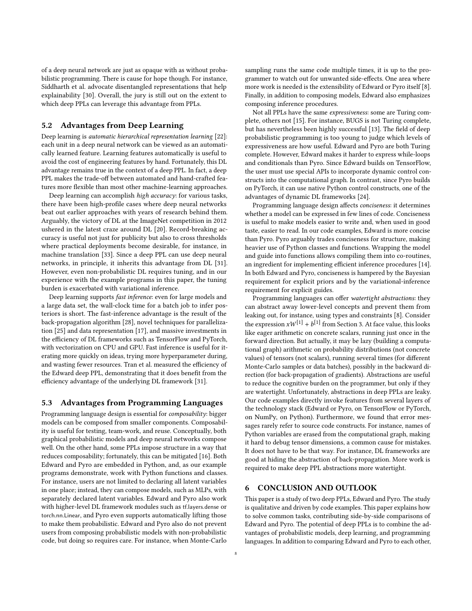of a deep neural network are just as opaque with as without probabilistic programming. There is cause for hope though. For instance, Siddharth et al. advocate disentangled representations that help explainability [\[30\]](#page-8-5). Overall, the jury is still out on the extent to which deep PPLs can leverage this advantage from PPLs.

### 5.2 Advantages from Deep Learning

Deep learning is automatic hierarchical representation learning [\[22\]](#page-8-7): each unit in a deep neural network can be viewed as an automatically learned feature. Learning features automatically is useful to avoid the cost of engineering features by hand. Fortunately, this DL advantage remains true in the context of a deep PPL. In fact, a deep PPL makes the trade-off between automated and hand-crafted features more flexible than most other machine-learning approaches.

Deep learning can accomplish high accuracy: for various tasks, there have been high-profile cases where deep neural networks beat out earlier approaches with years of research behind them. Arguably, the victory of DL at the ImageNet competition in 2012 ushered in the latest craze around DL [\[20\]](#page-8-8). Record-breaking accuracy is useful not just for publicity but also to cross thresholds where practical deployments become desirable, for instance, in machine translation [\[33\]](#page-8-9). Since a deep PPL can use deep neural networks, in principle, it inherits this advantage from DL [\[31\]](#page-8-16). However, even non-probabilistic DL requires tuning, and in our experience with the example programs in this paper, the tuning burden is exacerbated with variational inference.

Deep learning supports fast inference: even for large models and a large data set, the wall-clock time for a batch job to infer posteriors is short. The fast-inference advantage is the result of the back-propagation algorithm [\[28\]](#page-8-20), novel techniques for parallelization [\[25\]](#page-8-27) and data representation [\[17\]](#page-8-28), and massive investments in the efficiency of DL frameworks such as TensorFlow and PyTorch, with vectorization on CPU and GPU. Fast inference is useful for iterating more quickly on ideas, trying more hyperparameter during, and wasting fewer resources. Tran et al. measured the efficiency of the Edward deep PPL, demonstrating that it does benefit from the efficiency advantage of the underlying DL framework [\[31\]](#page-8-16).

### 5.3 Advantages from Programming Languages

Programming language design is essential for composability: bigger models can be composed from smaller components. Composability is useful for testing, team-work, and reuse. Conceptually, both graphical probabilistic models and deep neural networks compose well. On the other hand, some PPLs impose structure in a way that reduces composability; fortunately, this can be mitigated [\[16\]](#page-8-29). Both Edward and Pyro are embedded in Python, and, as our example programs demonstrate, work with Python functions and classes. For instance, users are not limited to declaring all latent variables in one place; instead, they can compose models, such as MLPs, with separately declared latent variables. Edward and Pyro also work with higher-level DL framework modules such as tf.layers.dense or torch.nn.Linear, and Pyro even supports automatically lifting those to make them probabilistic. Edward and Pyro also do not prevent users from composing probabilistic models with non-probabilistic code, but doing so requires care. For instance, when Monte-Carlo

sampling runs the same code multiple times, it is up to the programmer to watch out for unwanted side-effects. One area where more work is needed is the extensibility of Edward or Pyro itself [\[8\]](#page-8-25). Finally, in addition to composing models, Edward also emphasizes composing inference procedures.

Not all PPLs have the same expressiveness: some are Turing complete, others not [\[15\]](#page-8-1). For instance, BUGS is not Turing complete, but has nevertheless been highly successful [\[13\]](#page-8-30). The field of deep probabilistic programming is too young to judge which levels of expressiveness are how useful. Edward and Pyro are both Turing complete. However, Edward makes it harder to express while-loops and conditionals than Pyro. Since Edward builds on TensorFlow, the user must use special APIs to incorporate dynamic control constructs into the computational graph. In contrast, since Pyro builds on PyTorch, it can use native Python control constructs, one of the advantages of dynamic DL frameworks [\[24\]](#page-8-31).

Programming language design affects conciseness: it determines whether a model can be expressed in few lines of code. Conciseness is useful to make models easier to write and, when used in good taste, easier to read. In our code examples, Edward is more concise than Pyro. Pyro arguably trades conciseness for structure, making heavier use of Python classes and functions. Wrapping the model and guide into functions allows compiling them into co-routines, an ingredient for implementing efficient inference procedures [\[14\]](#page-8-32). In both Edward and Pyro, conciseness is hampered by the Bayesian requirement for explicit priors and by the variational-inference requirement for explicit guides.

Programming languages can offer watertight abstractions: they can abstract away lower-level concepts and prevent them from leaking out, for instance, using types and constraints [\[8\]](#page-8-25). Consider the expression  $xW^{[1]} + b^{[1]}$  from Section [3.](#page-3-0) At face value, this looks like eager arithmetic on concrete scalars, running just once in the forward direction. But actually, it may be lazy (building a computational graph) arithmetic on probability distributions (not concrete values) of tensors (not scalars), running several times (for different Monte-Carlo samples or data batches), possibly in the backward direction (for back-propagation of gradients). Abstractions are useful to reduce the cognitive burden on the programmer, but only if they are watertight. Unfortunately, abstractions in deep PPLs are leaky. Our code examples directly invoke features from several layers of the technology stack (Edward or Pyro, on TensorFlow or PyTorch, on NumPy, on Python). Furthermore, we found that error messages rarely refer to source code constructs. For instance, names of Python variables are erased from the computational graph, making it hard to debug tensor dimensions, a common cause for mistakes. It does not have to be that way. For instance, DL frameworks are good at hiding the abstraction of back-propagation. More work is required to make deep PPL abstractions more watertight.

### <span id="page-7-0"></span>6 CONCLUSION AND OUTLOOK

This paper is a study of two deep PPLs, Edward and Pyro. The study is qualitative and driven by code examples. This paper explains how to solve common tasks, contributing side-by-side comparisons of Edward and Pyro. The potential of deep PPLs is to combine the advantages of probabilistic models, deep learning, and programming languages. In addition to comparing Edward and Pyro to each other,